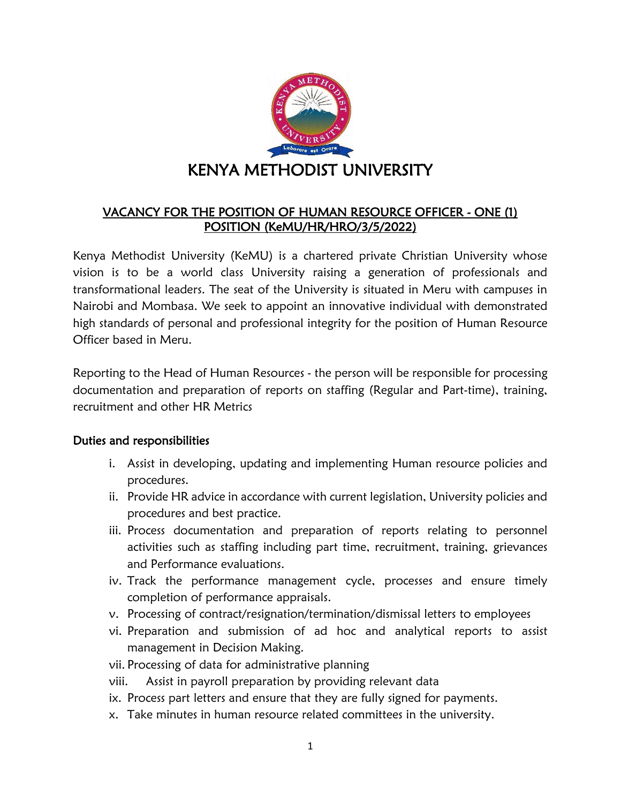

# VACANCY FOR THE POSITION OF HUMAN RESOURCE OFFICER - ONE (1) POSITION (KeMU/HR/HRO/3/5/2022)

Kenya Methodist University (KeMU) is a chartered private Christian University whose vision is to be a world class University raising a generation of professionals and transformational leaders. The seat of the University is situated in Meru with campuses in Nairobi and Mombasa. We seek to appoint an innovative individual with demonstrated high standards of personal and professional integrity for the position of Human Resource Officer based in Meru.

Reporting to the Head of Human Resources - the person will be responsible for processing documentation and preparation of reports on staffing (Regular and Part-time), training, recruitment and other HR Metrics

### Duties and responsibilities

- i. Assist in developing, updating and implementing Human resource policies and procedures.
- ii. Provide HR advice in accordance with current legislation, University policies and procedures and best practice.
- iii. Process documentation and preparation of reports relating to personnel activities such as staffing including part time, recruitment, training, grievances and Performance evaluations.
- iv. Track the performance management cycle, processes and ensure timely completion of performance appraisals.
- v. Processing of contract/resignation/termination/dismissal letters to employees
- vi. Preparation and submission of ad hoc and analytical reports to assist management in Decision Making.
- vii. Processing of data for administrative planning
- viii. Assist in payroll preparation by providing relevant data
- ix. Process part letters and ensure that they are fully signed for payments.
- x. Take minutes in human resource related committees in the university.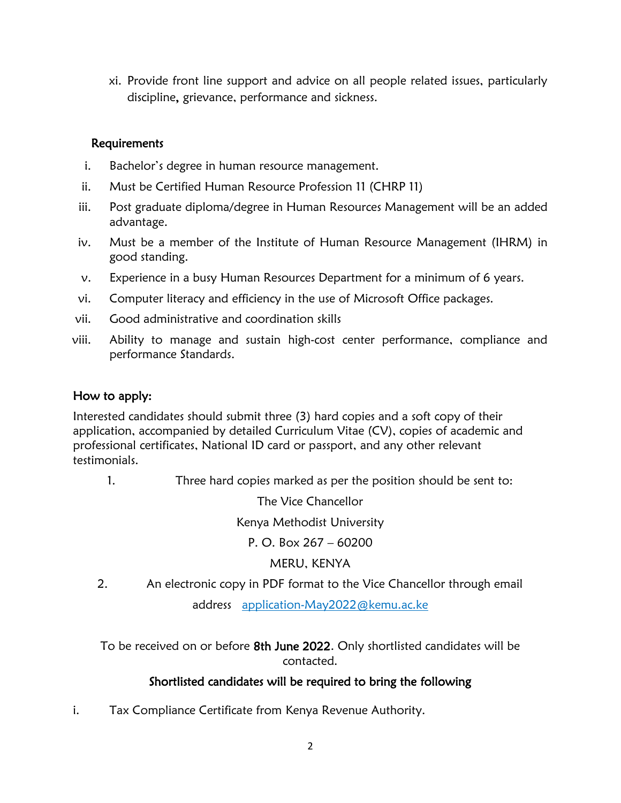xi. Provide front line support and advice on all people related issues, particularly discipline, grievance, performance and sickness.

### Requirements

- i. Bachelor's degree in human resource management.
- ii. Must be Certified Human Resource Profession 11 (CHRP 11)
- iii. Post graduate diploma/degree in Human Resources Management will be an added advantage.
- iv. Must be a member of the Institute of Human Resource Management (IHRM) in good standing.
- v. Experience in a busy Human Resources Department for a minimum of 6 years.
- vi. Computer literacy and efficiency in the use of Microsoft Office packages.
- vii. Good administrative and coordination skills
- viii. Ability to manage and sustain high-cost center performance, compliance and performance Standards.

#### How to apply:

Interested candidates should submit three (3) hard copies and a soft copy of their application, accompanied by detailed Curriculum Vitae (CV), copies of academic and professional certificates, National ID card or passport, and any other relevant testimonials.

1. Three hard copies marked as per the position should be sent to:

The Vice Chancellor

Kenya Methodist University

P. O. Box  $267 - 60200$ 

MERU, KENYA

2. An electronic copy in PDF format to the Vice Chancellor through email address application-May2022@kemu.ac.ke

To be received on or before 8th June 2022. Only shortlisted candidates will be contacted.

## Shortlisted candidates will be required to bring the following

i. Tax Compliance Certificate from Kenya Revenue Authority.